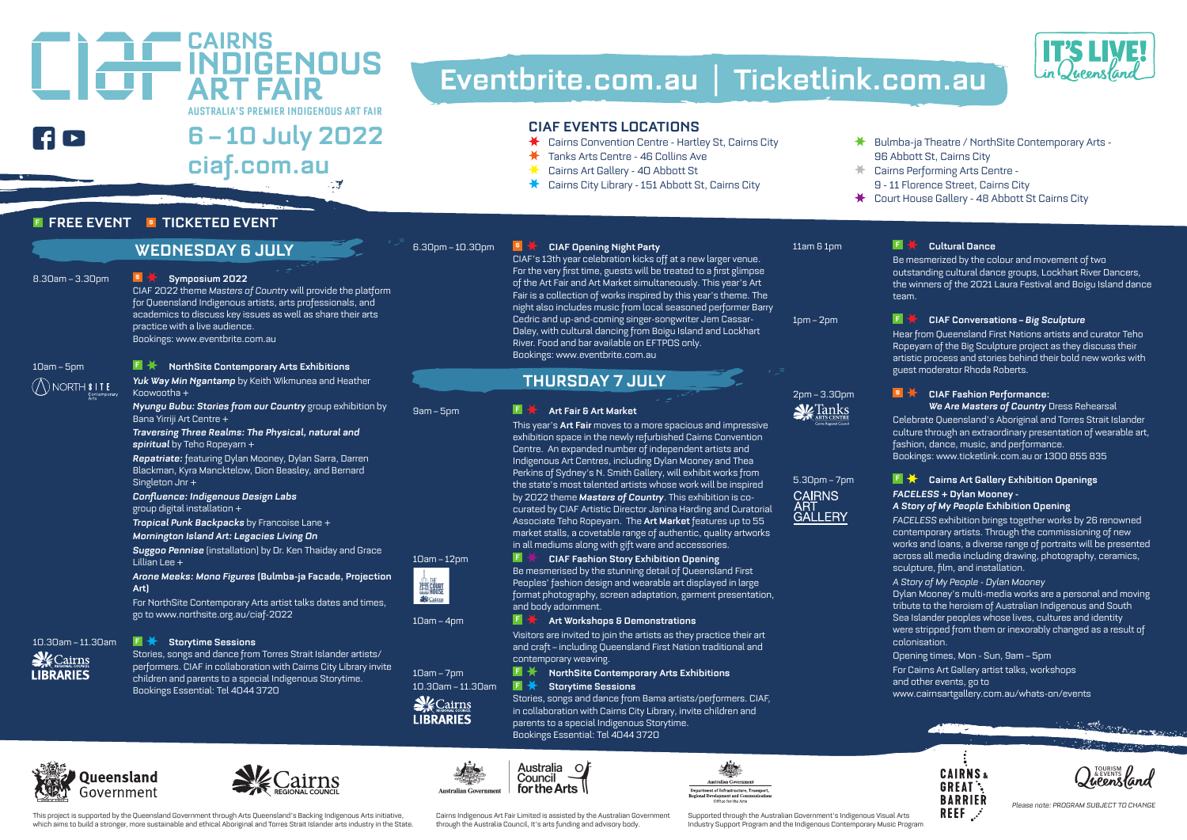## An

# **AUSTRALIA'S PREMIER INDIGENOUS ART FAIR 6 – 1O July 2O22 [ciaf.com.au](http://ciaf.com.au)**

# **[Eventbrite.com.au](http://Eventbrite.com.au) | [Ticketlink.com.au](http://Ticketlink.com.au)**

# **CIAF EVENTS LOCATIONS**<br>  $\star$  Cairns Convention Centre - Hartl

- Cairns Convention Centre Hartley St, Cairns City
- Tanks Arts Centre 46 Collins Ave ₩
- Cairns Art Gallery 4O Abbott St
- Cairns City Library 151 Abbott St, Cairns City

## **F FREE EVENT S TICKETED EVENT**

#### **WEDNESDAY 6 JULY**

**EN THE CAIRNS<br>ART FAIR** 

#### 8.3Oam – 3.3Opm **\$ Symposium 2O22**

CIAF 2O22 theme *Masters of Country* will provide the platform for Queensland Indigenous artists, arts professionals, and academics to discuss key issues as well as share their arts practice with a live audience. Bookings: [www.eventbrite.com.au](http://www.eventbrite.com.au)

 $\bigcirc$  NORTH **SITE** 

#### 1Oam – 5pm **F NorthSite Contemporary Arts Exhibitions**

*Yuk Way Min Ngantamp* by Keith Wikmunea and Heather Konwootha +

*Nyungu Bubu: Stories from our Country* group exhibition by Bana Yirriji Art Centre +

*Traversing Three Realms: The Physical, natural and spiritual* by Teho Ropeyarn +

*Repatriate:* featuring Dylan Mooney, Dylan Sarra, Darren Blackman, Kyra Mancktelow, Dion Beasley, and Bernard Singleton Jnr +

*Confluence: Indigenous Design Labs*

group digital installation +

*Tropical Punk Backpacks* by Francoise Lane +

#### *Mornington Island Art: Legacies Living On*

*Suggoo Pennise* (installation) by Dr. Ken Thaiday and Grace Lillian Lee +

*Arone Meeks: Mono Figures* **(Bulmba-ja Facade, Projection Art)**

For NorthSite Contemporary Arts artist talks dates and times, go to [www.northsite.org.au/ciaf-2O22](http://www.northsite.org.au/ciaf-2O22)

#### 1O.3Oam – 11.3Oam **F Storytime Sessions**

**I IRRARIES** 

Queensland

Government





**ELECTED Sk** Cairns



## 6.3Opm – 1O.3Opm **\$ CIAF Opening Night Party**

CIAF's 13th year celebration kicks off at a new larger venue. For the very first time, guests will be treated to a first glimpse of the Art Fair and Art Market simultaneously. This year's Art Fair is a collection of works inspired by this year's theme. The night also includes music from local seasoned performer Barry Cedric and up-and-coming singer-songwriter Jem Cassar-Daley, with cultural dancing from Boigu Island and Lockhart River. Food and bar available on EFTPOS only. Bookings: [www.eventbrite.com.au](http://www.eventbrite.com.au)

### **THURSDAY 7 JULY**

#### 9am – 5pm **F Art Fair & Art Market**

This year's **Art Fair** moves to a more spacious and impressive exhibition space in the newly refurbished Cairns Convention Centre. An expanded number of independent artists and Indigenous Art Centres, including Dylan Mooney and Thea Perkins of Sydney's N. Smith Gallery, will exhibit works from the state's most talented artists whose work will be inspired by 2O22 theme *Masters of Country*. This exhibition is cocurated by CIAF Artistic Director Janina Harding and Curatorial Associate Teho Ropeyarn. The **Art Market** features up to 55 market stalls, a covetable range of authentic, quality artworks in all mediums along with gift ware and accessories.

#### 1Oam – 12pm **F CIAF Fashion Story Exhibition Opening**

Be mesmerised by the stunning detail of Queensland First Peoples' fashion design and wearable art displayed in large format photography, screen adaptation, garment presentation, and body adornment.

#### 1Oam – 4pm **F Art Workshops & Demonstrations**

Visitors are invited to join the artists as they practice their art and craft – including Queensland First Nation traditional and contemporary weaving.

10am – 7pm **F X** NorthSite Contemporary Arts Exhibitions

#### 1O.3Oam – 11.3Oam **F Storytime Sessions**

**Stories, songs and dance from Bama artists/performers. CIAF,**<br> **Stories, songs and dance from Bama artists/performers.** CIAF, in collaboration with Cairns City Library, invite children and parents to a special Indigenous Storytime. Bookings Essential: Tel 4O44 372O



Cairns Indigenous Art Fair Limited is assisted by the Australian Government through the Australia Council, It's arts funding and advisory body.



#### Supported through the Australian Government's Indigenous Visual Arts Industry Support Program and the Indigenous Contemporary Music Program





*Please note: PROGRAM SUBJECT TO CHANGE*

- Bulmba-ja Theatre / NorthSite Contemporary Arts 96 Abbott St, Cairns City
- Cairns Performing Arts Centre 9 - 11 Florence Street, Cairns City
- Court House Gallery 48 Abbott St Cairns City

#### 11am & 1pm **F Cultural Dance**

Be mesmerized by the colour and movement of two outstanding cultural dance groups, Lockhart River Dancers, the winners of the 2O21 Laura Festival and Boigu Island dance team.

**IT'S LIVE!** 

#### 1pm – 2pm **F CIAF Conversations –** *Big Sculpture*

Hear from Queensland First Nations artists and curator Teho Ropeyarn of the Big Sculpture project as they discuss their artistic process and stories behind their bold new works with guest moderator Rhoda Roberts.

#### 2pm – 3.3Opm **\$ CIAF Fashion Performance:**  *We Are Masters of Country* Dress Rehearsal

Celebrate Queensland's Aboriginal and Torres Strait Islander culture through an extraordinary presentation of wearable art, fashion, dance, music, and performance. Bookings: [www.ticketlink.com.au](http://www.ticketlink.com.au) or 13OO 855 835

# 5.3Opm – 7pm **F Cairns Art Gallery Exhibition Openings**

#### *A Story of My People* **Exhibition Opening**

*FACELESS* exhibition brings together works by 26 renowned contemporary artists. Through the commissioning of new works and loans, a diverse range of portraits will be presented across all media including drawing, photography, ceramics, sculpture, film, and installation.

*A Story of My People - Dylan Mooney*

Dylan Mooney's multi-media works are a personal and moving tribute to the heroism of Australian Indigenous and South Sea Islander peoples whose lives, cultures and identity were stripped from them or inexorably changed as a result of colonisation.

#### Opening times, Mon - Sun, 9am – 5pm

For Cairns Art Gallery artist talks, workshops and other events, go to [www.cairnsartgallery.com.au/whats-on/events](http://www.cairnsartgallery.com.au/whats-on/events)





REEF  $\mathcal{I}$ 

This project is supported by the Queensland Government through Arts Queensland's Backing Indigenous Arts initiative, which aims to build a stronger, more sustainable and ethical Aboriginal and Torres Strait Islander arts industry in the State.

for the Arts **Australian Governmen** 











*FACELESS* **+ Dylan Mooney -** 

# **N** Tanks